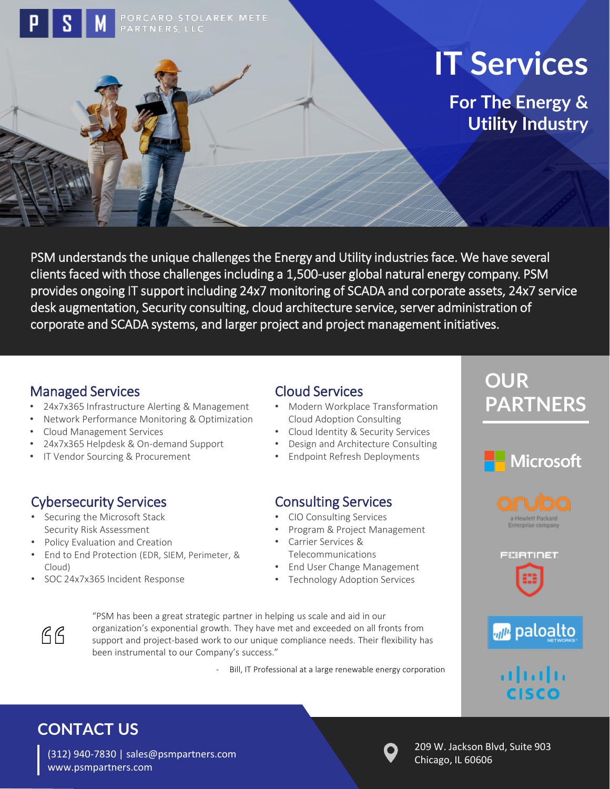# **IT Services**

**For The Energy & Utility Industry** 

PSM understands the unique challenges the Energy and Utility industries face. We have several clients faced with those challenges including a 1,500-user global natural energy company. PSM provides ongoing IT support including 24x7 monitoring of SCADA and corporate assets, 24x7 service desk augmentation, Security consulting, cloud architecture service, server administration of corporate and SCADA systems, and larger project and project management initiatives.

#### Managed Services

- 24x7x365 Infrastructure Alerting & Management
- Network Performance Monitoring & Optimization
- Cloud Management Services
- 24x7x365 Helpdesk & On-demand Support
- IT Vendor Sourcing & Procurement

### Cybersecurity Services

- Securing the Microsoft Stack Security Risk Assessment
- Policy Evaluation and Creation
- End to End Protection (EDR, SIEM, Perimeter, & Cloud)
- SOC 24x7x365 Incident Response

#### Cloud Services

- Modern Workplace Transformation Cloud Adoption Consulting
- Cloud Identity & Security Services
- Design and Architecture Consulting
- Endpoint Refresh Deployments

#### Consulting Services

- CIO Consulting Services
- Program & Project Management
- Carrier Services & Telecommunications
- End User Change Management • Technology Adoption Services

 $AG$ 

"PSM has been a great strategic partner in helping us scale and aid in our organization's exponential growth. They have met and exceeded on all fronts from support and project-based work to our unique compliance needs. Their flexibility has been instrumental to our Company's success."

- Bill, IT Professional at a large renewable energy corporation

# **OUR PARTNERS**









 $\mathbf{d}$  and  $\mathbf{d}$ **CISCO** 

# **CONTACT US**

(312) 940-7830 | sales@psmpartners.com www.psmpartners.com



209 W. Jackson Blvd, Suite 903 Chicago, IL 60606